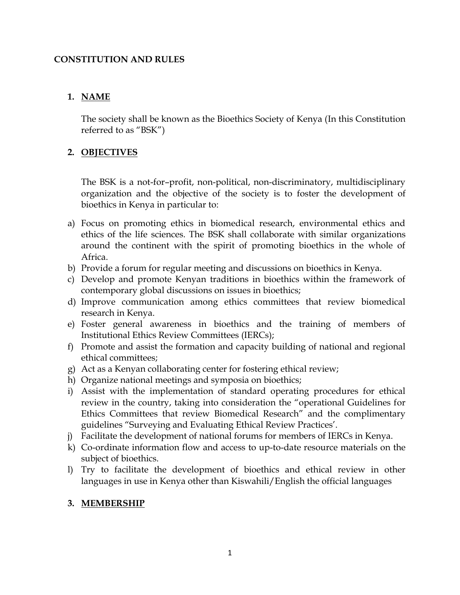### **CONSTITUTION AND RULES**

# **1. NAME**

The society shall be known as the Bioethics Society of Kenya (In this Constitution referred to as "BSK")

# **2. OBJECTIVES**

The BSK is a not-for–profit, non-political, non-discriminatory, multidisciplinary organization and the objective of the society is to foster the development of bioethics in Kenya in particular to:

- a) Focus on promoting ethics in biomedical research, environmental ethics and ethics of the life sciences. The BSK shall collaborate with similar organizations around the continent with the spirit of promoting bioethics in the whole of Africa.
- b) Provide a forum for regular meeting and discussions on bioethics in Kenya.
- c) Develop and promote Kenyan traditions in bioethics within the framework of contemporary global discussions on issues in bioethics;
- d) Improve communication among ethics committees that review biomedical research in Kenya.
- e) Foster general awareness in bioethics and the training of members of Institutional Ethics Review Committees (IERCs);
- f) Promote and assist the formation and capacity building of national and regional ethical committees;
- g) Act as a Kenyan collaborating center for fostering ethical review;
- h) Organize national meetings and symposia on bioethics;
- i) Assist with the implementation of standard operating procedures for ethical review in the country, taking into consideration the "operational Guidelines for Ethics Committees that review Biomedical Research" and the complimentary guidelines "Surveying and Evaluating Ethical Review Practices'.
- j) Facilitate the development of national forums for members of IERCs in Kenya.
- k) Co-ordinate information flow and access to up-to-date resource materials on the subject of bioethics.
- l) Try to facilitate the development of bioethics and ethical review in other languages in use in Kenya other than Kiswahili/English the official languages

## **3. MEMBERSHIP**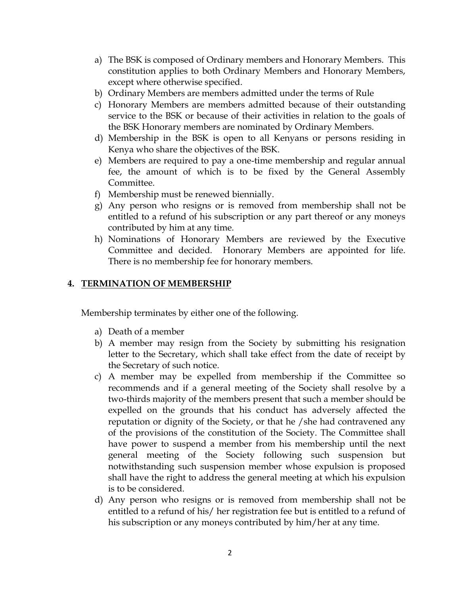- a) The BSK is composed of Ordinary members and Honorary Members. This constitution applies to both Ordinary Members and Honorary Members, except where otherwise specified.
- b) Ordinary Members are members admitted under the terms of Rule
- c) Honorary Members are members admitted because of their outstanding service to the BSK or because of their activities in relation to the goals of the BSK Honorary members are nominated by Ordinary Members.
- d) Membership in the BSK is open to all Kenyans or persons residing in Kenya who share the objectives of the BSK.
- e) Members are required to pay a one-time membership and regular annual fee, the amount of which is to be fixed by the General Assembly Committee.
- f) Membership must be renewed biennially.
- g) Any person who resigns or is removed from membership shall not be entitled to a refund of his subscription or any part thereof or any moneys contributed by him at any time.
- h) Nominations of Honorary Members are reviewed by the Executive Committee and decided. Honorary Members are appointed for life. There is no membership fee for honorary members.

## **4. TERMINATION OF MEMBERSHIP**

Membership terminates by either one of the following.

- a) Death of a member
- b) A member may resign from the Society by submitting his resignation letter to the Secretary, which shall take effect from the date of receipt by the Secretary of such notice.
- c) A member may be expelled from membership if the Committee so recommends and if a general meeting of the Society shall resolve by a two-thirds majority of the members present that such a member should be expelled on the grounds that his conduct has adversely affected the reputation or dignity of the Society, or that he /she had contravened any of the provisions of the constitution of the Society. The Committee shall have power to suspend a member from his membership until the next general meeting of the Society following such suspension but notwithstanding such suspension member whose expulsion is proposed shall have the right to address the general meeting at which his expulsion is to be considered.
- d) Any person who resigns or is removed from membership shall not be entitled to a refund of his/ her registration fee but is entitled to a refund of his subscription or any moneys contributed by him/her at any time.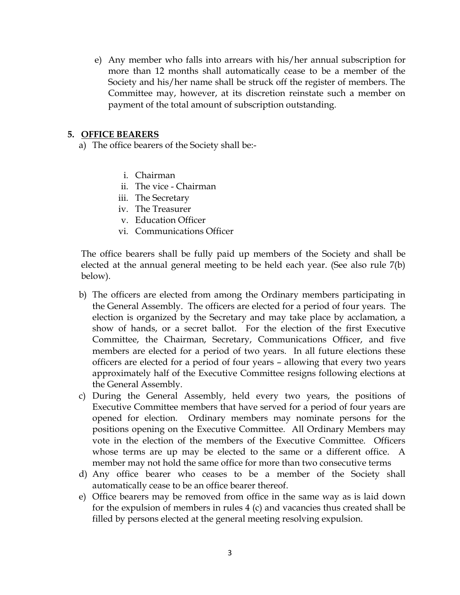e) Any member who falls into arrears with his/her annual subscription for more than 12 months shall automatically cease to be a member of the Society and his/her name shall be struck off the register of members. The Committee may, however, at its discretion reinstate such a member on payment of the total amount of subscription outstanding.

#### **5. OFFICE BEARERS**

- a) The office bearers of the Society shall be:
	- i. Chairman
	- ii. The vice Chairman
	- iii. The Secretary
	- iv. The Treasurer
	- v. Education Officer
	- vi. Communications Officer

The office bearers shall be fully paid up members of the Society and shall be elected at the annual general meeting to be held each year. (See also rule 7(b) below).

- b) The officers are elected from among the Ordinary members participating in the General Assembly. The officers are elected for a period of four years. The election is organized by the Secretary and may take place by acclamation, a show of hands, or a secret ballot. For the election of the first Executive Committee, the Chairman, Secretary, Communications Officer, and five members are elected for a period of two years. In all future elections these officers are elected for a period of four years – allowing that every two years approximately half of the Executive Committee resigns following elections at the General Assembly.
- c) During the General Assembly, held every two years, the positions of Executive Committee members that have served for a period of four years are opened for election. Ordinary members may nominate persons for the positions opening on the Executive Committee. All Ordinary Members may vote in the election of the members of the Executive Committee. Officers whose terms are up may be elected to the same or a different office. A member may not hold the same office for more than two consecutive terms
- d) Any office bearer who ceases to be a member of the Society shall automatically cease to be an office bearer thereof.
- e) Office bearers may be removed from office in the same way as is laid down for the expulsion of members in rules 4 (c) and vacancies thus created shall be filled by persons elected at the general meeting resolving expulsion.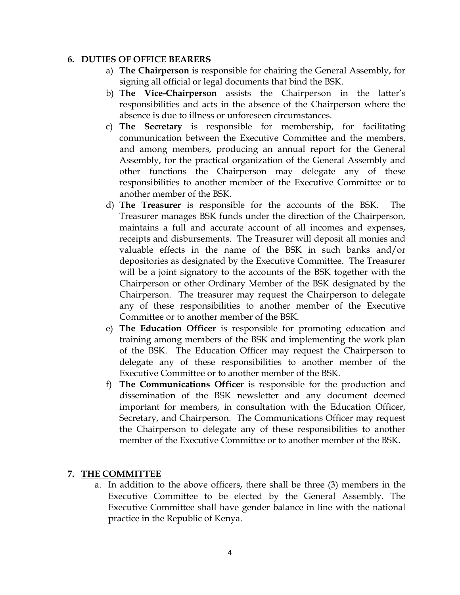#### **6. DUTIES OF OFFICE BEARERS**

- a) **The Chairperson** is responsible for chairing the General Assembly, for signing all official or legal documents that bind the BSK.
- b) **The Vice-Chairperson** assists the Chairperson in the latter's responsibilities and acts in the absence of the Chairperson where the absence is due to illness or unforeseen circumstances.
- c) **The Secretary** is responsible for membership, for facilitating communication between the Executive Committee and the members, and among members, producing an annual report for the General Assembly, for the practical organization of the General Assembly and other functions the Chairperson may delegate any of these responsibilities to another member of the Executive Committee or to another member of the BSK.
- d) **The Treasurer** is responsible for the accounts of the BSK. The Treasurer manages BSK funds under the direction of the Chairperson, maintains a full and accurate account of all incomes and expenses, receipts and disbursements. The Treasurer will deposit all monies and valuable effects in the name of the BSK in such banks and/or depositories as designated by the Executive Committee. The Treasurer will be a joint signatory to the accounts of the BSK together with the Chairperson or other Ordinary Member of the BSK designated by the Chairperson. The treasurer may request the Chairperson to delegate any of these responsibilities to another member of the Executive Committee or to another member of the BSK.
- e) **The Education Officer** is responsible for promoting education and training among members of the BSK and implementing the work plan of the BSK. The Education Officer may request the Chairperson to delegate any of these responsibilities to another member of the Executive Committee or to another member of the BSK.
- f) **The Communications Officer** is responsible for the production and dissemination of the BSK newsletter and any document deemed important for members, in consultation with the Education Officer, Secretary, and Chairperson. The Communications Officer may request the Chairperson to delegate any of these responsibilities to another member of the Executive Committee or to another member of the BSK.

## **7. THE COMMITTEE**

a. In addition to the above officers, there shall be three (3) members in the Executive Committee to be elected by the General Assembly. The Executive Committee shall have gender balance in line with the national practice in the Republic of Kenya.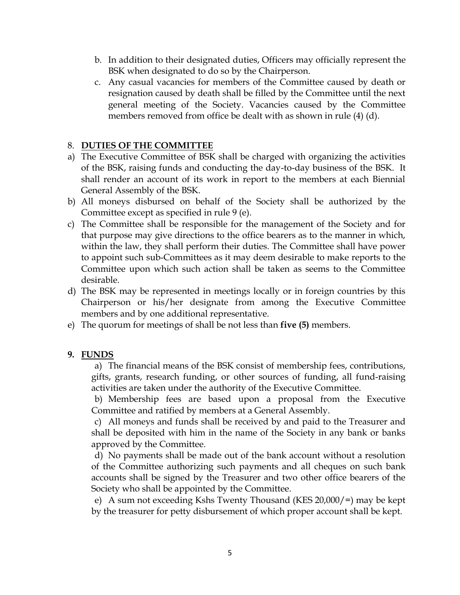- b. In addition to their designated duties, Officers may officially represent the BSK when designated to do so by the Chairperson.
- c. Any casual vacancies for members of the Committee caused by death or resignation caused by death shall be filled by the Committee until the next general meeting of the Society. Vacancies caused by the Committee members removed from office be dealt with as shown in rule (4) (d).

#### 8. **DUTIES OF THE COMMITTEE**

- a) The Executive Committee of BSK shall be charged with organizing the activities of the BSK, raising funds and conducting the day-to-day business of the BSK. It shall render an account of its work in report to the members at each Biennial General Assembly of the BSK.
- b) All moneys disbursed on behalf of the Society shall be authorized by the Committee except as specified in rule 9 (e).
- c) The Committee shall be responsible for the management of the Society and for that purpose may give directions to the office bearers as to the manner in which, within the law, they shall perform their duties. The Committee shall have power to appoint such sub-Committees as it may deem desirable to make reports to the Committee upon which such action shall be taken as seems to the Committee desirable.
- d) The BSK may be represented in meetings locally or in foreign countries by this Chairperson or his/her designate from among the Executive Committee members and by one additional representative.
- e) The quorum for meetings of shall be not less than **five (5)** members.

### **9. FUNDS**

a) The financial means of the BSK consist of membership fees, contributions, gifts, grants, research funding, or other sources of funding, all fund-raising activities are taken under the authority of the Executive Committee.

b) Membership fees are based upon a proposal from the Executive Committee and ratified by members at a General Assembly.

c) All moneys and funds shall be received by and paid to the Treasurer and shall be deposited with him in the name of the Society in any bank or banks approved by the Committee.

d) No payments shall be made out of the bank account without a resolution of the Committee authorizing such payments and all cheques on such bank accounts shall be signed by the Treasurer and two other office bearers of the Society who shall be appointed by the Committee.

e) A sum not exceeding Kshs Twenty Thousand (KES 20,000/=) may be kept by the treasurer for petty disbursement of which proper account shall be kept.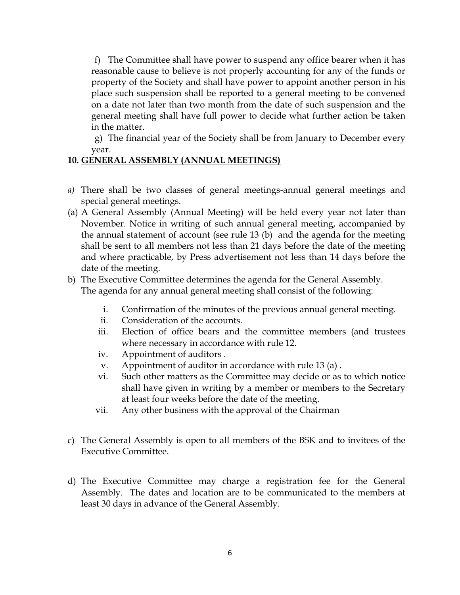f) The Committee shall have power to suspend any office bearer when it has reasonable cause to believe is not properly accounting for any of the funds or property of the Society and shall have power to appoint another person in his place such suspension shall be reported to a general meeting to be convened on a date not later than two month from the date of such suspension and the general meeting shall have full power to decide what further action be taken in the matter.

g) The financial year of the Society shall be from January to December every year.

### **10. GENERAL ASSEMBLY (ANNUAL MEETINGS)**

- *a)* There shall be two classes of general meetings-annual general meetings and special general meetings.
- (a) A General Assembly (Annual Meeting) will be held every year not later than November. Notice in writing of such annual general meeting, accompanied by the annual statement of account (see rule 13 (b) and the agenda for the meeting shall be sent to all members not less than 21 days before the date of the meeting and where practicable, by Press advertisement not less than 14 days before the date of the meeting.
- b) The Executive Committee determines the agenda for the General Assembly. The agenda for any annual general meeting shall consist of the following:
	- i. Confirmation of the minutes of the previous annual general meeting.
	- ii. Consideration of the accounts.
	- iii. Election of office bears and the committee members (and trustees where necessary in accordance with rule 12.
	- iv. Appointment of auditors .
	- v. Appointment of auditor in accordance with rule 13 (a) .
	- vi. Such other matters as the Committee may decide or as to which notice shall have given in writing by a member or members to the Secretary at least four weeks before the date of the meeting.
	- vii. Any other business with the approval of the Chairman
- c) The General Assembly is open to all members of the BSK and to invitees of the Executive Committee.
- d) The Executive Committee may charge a registration fee for the General Assembly. The dates and location are to be communicated to the members at least 30 days in advance of the General Assembly.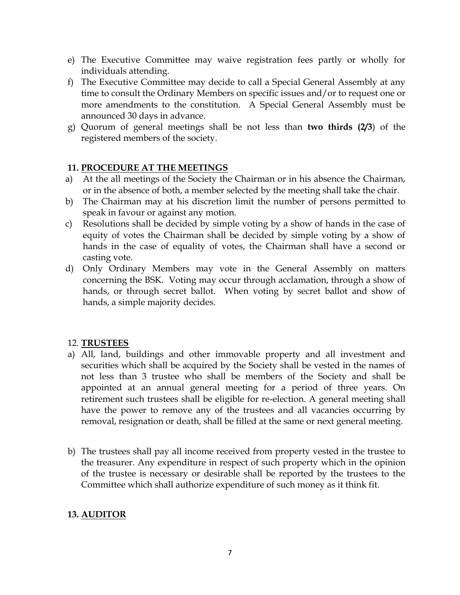- e) The Executive Committee may waive registration fees partly or wholly for individuals attending.
- f) The Executive Committee may decide to call a Special General Assembly at any time to consult the Ordinary Members on specific issues and/or to request one or more amendments to the constitution. A Special General Assembly must be announced 30 days in advance.
- g) Quorum of general meetings shall be not less than **two thirds (2/3**) of the registered members of the society.

## **11. PROCEDURE AT THE MEETINGS**

- a) At the all meetings of the Society the Chairman or in his absence the Chairman, or in the absence of both, a member selected by the meeting shall take the chair.
- b) The Chairman may at his discretion limit the number of persons permitted to speak in favour or against any motion.
- c) Resolutions shall be decided by simple voting by a show of hands in the case of equity of votes the Chairman shall be decided by simple voting by a show of hands in the case of equality of votes, the Chairman shall have a second or casting vote.
- d) Only Ordinary Members may vote in the General Assembly on matters concerning the BSK. Voting may occur through acclamation, through a show of hands, or through secret ballot. When voting by secret ballot and show of hands, a simple majority decides.

### 12. **TRUSTEES**

- a) All, land, buildings and other immovable property and all investment and securities which shall be acquired by the Society shall be vested in the names of not less than 3 trustee who shall be members of the Society and shall be appointed at an annual general meeting for a period of three years. On retirement such trustees shall be eligible for re-election. A general meeting shall have the power to remove any of the trustees and all vacancies occurring by removal, resignation or death, shall be filled at the same or next general meeting.
- b) The trustees shall pay all income received from property vested in the trustee to the treasurer. Any expenditure in respect of such property which in the opinion of the trustee is necessary or desirable shall be reported by the trustees to the Committee which shall authorize expenditure of such money as it think fit.

## **13. AUDITOR**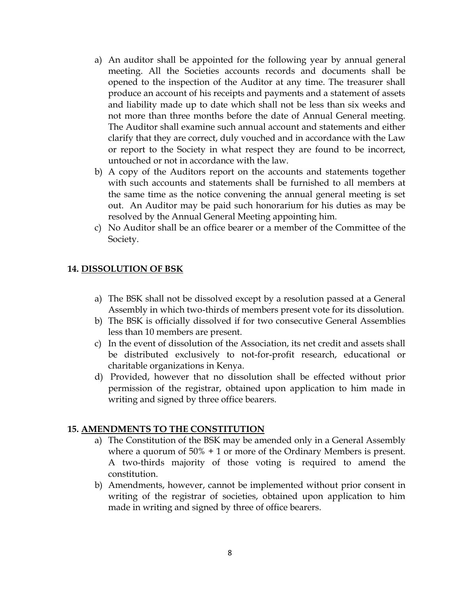- a) An auditor shall be appointed for the following year by annual general meeting. All the Societies accounts records and documents shall be opened to the inspection of the Auditor at any time. The treasurer shall produce an account of his receipts and payments and a statement of assets and liability made up to date which shall not be less than six weeks and not more than three months before the date of Annual General meeting. The Auditor shall examine such annual account and statements and either clarify that they are correct, duly vouched and in accordance with the Law or report to the Society in what respect they are found to be incorrect, untouched or not in accordance with the law.
- b) A copy of the Auditors report on the accounts and statements together with such accounts and statements shall be furnished to all members at the same time as the notice convening the annual general meeting is set out. An Auditor may be paid such honorarium for his duties as may be resolved by the Annual General Meeting appointing him.
- c) No Auditor shall be an office bearer or a member of the Committee of the Society.

### **14. DISSOLUTION OF BSK**

- a) The BSK shall not be dissolved except by a resolution passed at a General Assembly in which two-thirds of members present vote for its dissolution.
- b) The BSK is officially dissolved if for two consecutive General Assemblies less than 10 members are present.
- c) In the event of dissolution of the Association, its net credit and assets shall be distributed exclusively to not-for-profit research, educational or charitable organizations in Kenya.
- d) Provided, however that no dissolution shall be effected without prior permission of the registrar, obtained upon application to him made in writing and signed by three office bearers.

#### **15. AMENDMENTS TO THE CONSTITUTION**

- a) The Constitution of the BSK may be amended only in a General Assembly where a quorum of 50% + 1 or more of the Ordinary Members is present. A two-thirds majority of those voting is required to amend the constitution.
- b) Amendments, however, cannot be implemented without prior consent in writing of the registrar of societies, obtained upon application to him made in writing and signed by three of office bearers.